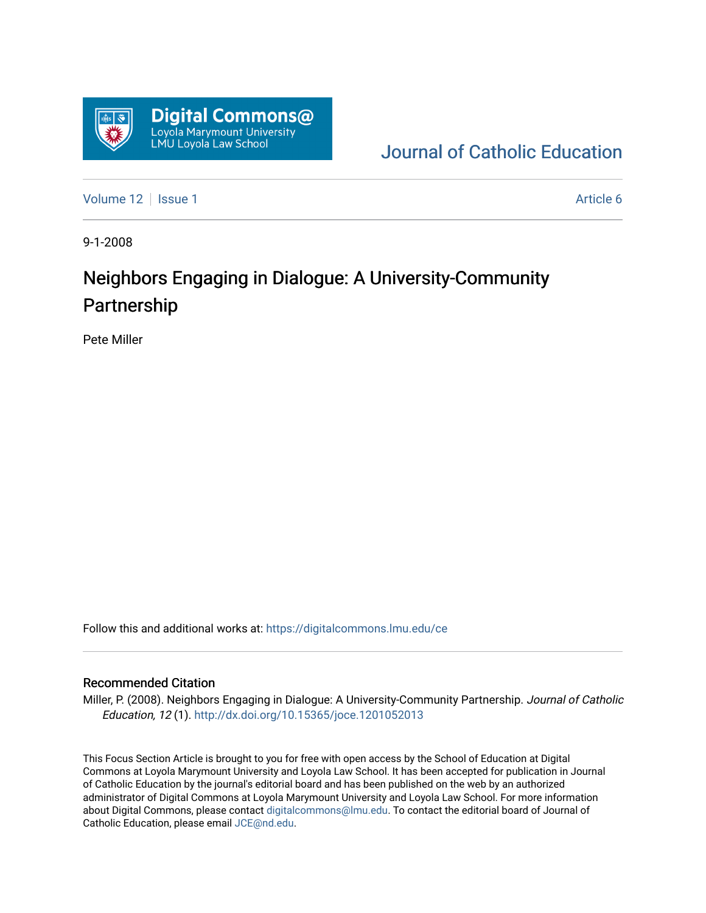

[Journal of Catholic Education](https://digitalcommons.lmu.edu/ce) 

[Volume 12](https://digitalcommons.lmu.edu/ce/vol12) | [Issue 1](https://digitalcommons.lmu.edu/ce/vol12/iss1) Article 6

9-1-2008

# Neighbors Engaging in Dialogue: A University-Community Partnership

Pete Miller

Follow this and additional works at: [https://digitalcommons.lmu.edu/ce](https://digitalcommons.lmu.edu/ce?utm_source=digitalcommons.lmu.edu%2Fce%2Fvol12%2Fiss1%2F6&utm_medium=PDF&utm_campaign=PDFCoverPages)

#### Recommended Citation

Miller, P. (2008). Neighbors Engaging in Dialogue: A University-Community Partnership. Journal of Catholic Education, 12 (1). <http://dx.doi.org/10.15365/joce.1201052013>

This Focus Section Article is brought to you for free with open access by the School of Education at Digital Commons at Loyola Marymount University and Loyola Law School. It has been accepted for publication in Journal of Catholic Education by the journal's editorial board and has been published on the web by an authorized administrator of Digital Commons at Loyola Marymount University and Loyola Law School. For more information about Digital Commons, please contact [digitalcommons@lmu.edu](mailto:digitalcommons@lmu.edu). To contact the editorial board of Journal of Catholic Education, please email [JCE@nd.edu.](mailto:JCE@nd.edu)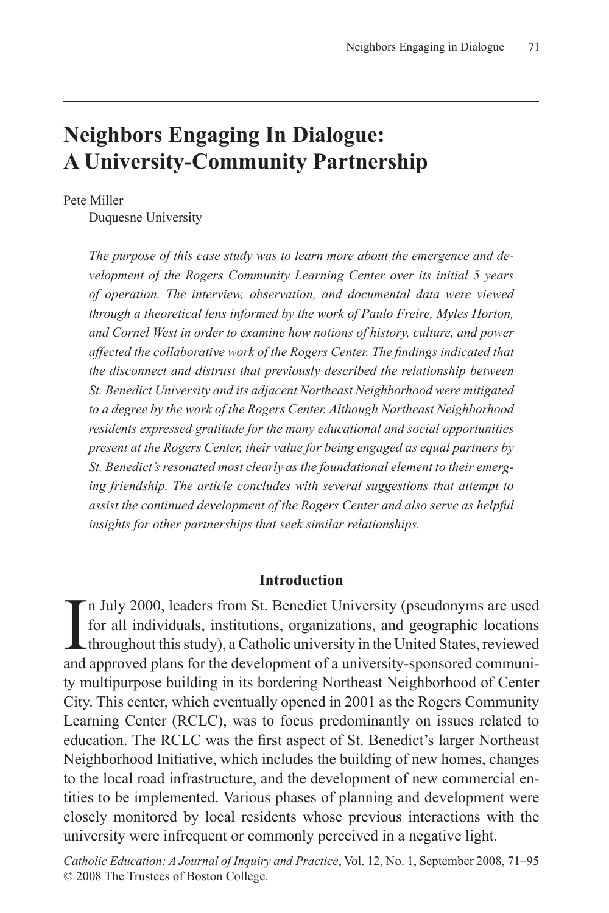## **Neighbors Engaging In Dialogue: A University-Community Partnership**

Pete Miller

Duquesne University

*The purpose of this case study was to learn more about the emergence and development of the Rogers Community Learning Center over its initial 5 years of operation. The interview, observation, and documental data were viewed through a theoretical lens informed by the work of Paulo Freire, Myles Horton, and Cornel West in order to examine how notions of history, culture, and power affected the collaborative work of the Rogers Center. The findings indicated that the disconnect and distrust that previously described the relationship between St. Benedict University and its adjacent Northeast Neighborhood were mitigated to a degree by the work of the Rogers Center. Although Northeast Neighborhood residents expressed gratitude for the many educational and social opportunities present at the Rogers Center, their value for being engaged as equal partners by St. Benedict's resonated most clearly as the foundational element to their emerging friendship. The article concludes with several suggestions that attempt to assist the continued development of the Rogers Center and also serve as helpful insights for other partnerships that seek similar relationships.* 

#### **Introduction**

In July 2000, leaders from St. Benedict University (pseudonyms are used for all individuals, institutions, organizations, and geographic locations throughout this study), a Catholic university in the United States, reviewe n July 2000, leaders from St. Benedict University (pseudonyms are used for all individuals, institutions, organizations, and geographic locations throughout this study), a Catholic university in the United States, reviewed ty multipurpose building in its bordering Northeast Neighborhood of Center City. This center, which eventually opened in 2001 as the Rogers Community Learning Center (RCLC), was to focus predominantly on issues related to education. The RCLC was the first aspect of St. Benedict's larger Northeast Neighborhood Initiative, which includes the building of new homes, changes to the local road infrastructure, and the development of new commercial entities to be implemented. Various phases of planning and development were closely monitored by local residents whose previous interactions with the university were infrequent or commonly perceived in a negative light.

*Catholic Education: A Journal of Inquiry and Practice*, Vol. 12, No. 1, September 2008, 71–95 © 2008 The Trustees of Boston College.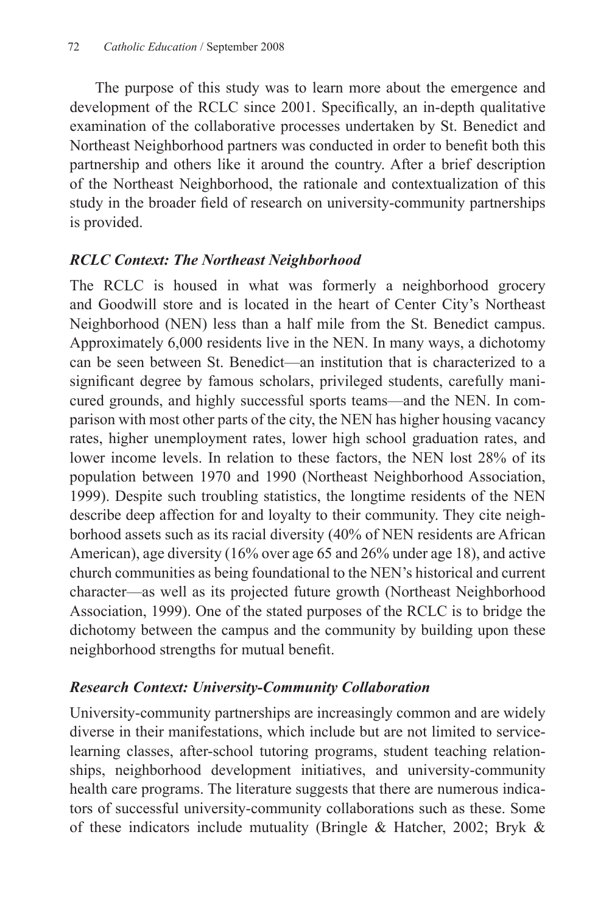The purpose of this study was to learn more about the emergence and development of the RCLC since 2001. Specifically, an in-depth qualitative examination of the collaborative processes undertaken by St. Benedict and Northeast Neighborhood partners was conducted in order to benefit both this partnership and others like it around the country. After a brief description of the Northeast Neighborhood, the rationale and contextualization of this study in the broader field of research on university-community partnerships is provided.

## *RCLC Context: The Northeast Neighborhood*

The RCLC is housed in what was formerly a neighborhood grocery and Goodwill store and is located in the heart of Center City's Northeast Neighborhood (NEN) less than a half mile from the St. Benedict campus. Approximately 6,000 residents live in the NEN. In many ways, a dichotomy can be seen between St. Benedict—an institution that is characterized to a significant degree by famous scholars, privileged students, carefully manicured grounds, and highly successful sports teams—and the NEN. In comparison with most other parts of the city, the NEN has higher housing vacancy rates, higher unemployment rates, lower high school graduation rates, and lower income levels. In relation to these factors, the NEN lost 28% of its population between 1970 and 1990 (Northeast Neighborhood Association, 1999). Despite such troubling statistics, the longtime residents of the NEN describe deep affection for and loyalty to their community. They cite neighborhood assets such as its racial diversity (40% of NEN residents are African American), age diversity (16% over age 65 and 26% under age 18), and active church communities as being foundational to the NEN's historical and current character—as well as its projected future growth (Northeast Neighborhood Association, 1999). One of the stated purposes of the RCLC is to bridge the dichotomy between the campus and the community by building upon these neighborhood strengths for mutual benefit.

## *Research Context: University-Community Collaboration*

University-community partnerships are increasingly common and are widely diverse in their manifestations, which include but are not limited to servicelearning classes, after-school tutoring programs, student teaching relationships, neighborhood development initiatives, and university-community health care programs. The literature suggests that there are numerous indicators of successful university-community collaborations such as these. Some of these indicators include mutuality (Bringle & Hatcher, 2002; Bryk &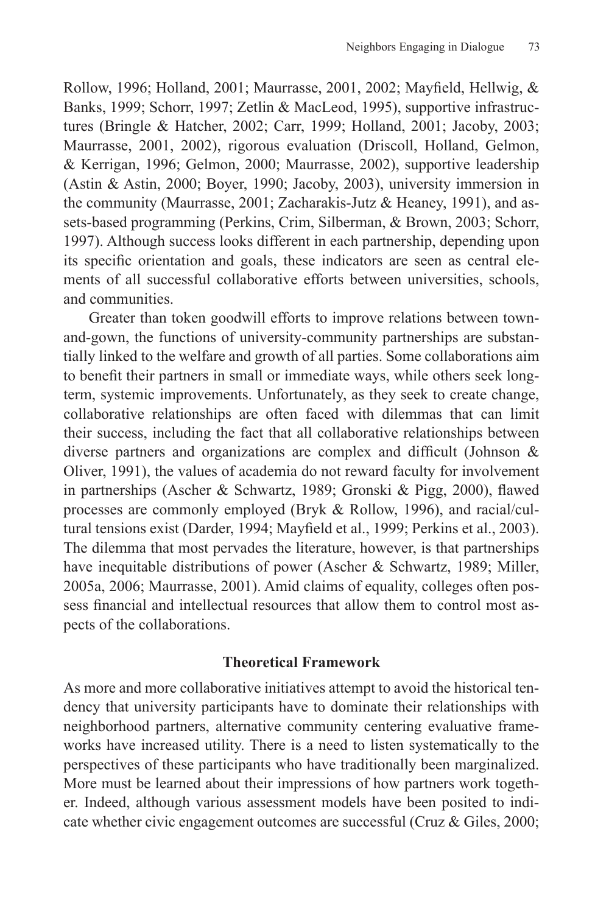Rollow, 1996; Holland, 2001; Maurrasse, 2001, 2002; Mayfield, Hellwig, & Banks, 1999; Schorr, 1997; Zetlin & MacLeod, 1995), supportive infrastructures (Bringle & Hatcher, 2002; Carr, 1999; Holland, 2001; Jacoby, 2003; Maurrasse, 2001, 2002), rigorous evaluation (Driscoll, Holland, Gelmon, & Kerrigan, 1996; Gelmon, 2000; Maurrasse, 2002), supportive leadership (Astin & Astin, 2000; Boyer, 1990; Jacoby, 2003), university immersion in the community (Maurrasse, 2001; Zacharakis-Jutz & Heaney, 1991), and assets-based programming (Perkins, Crim, Silberman, & Brown, 2003; Schorr, 1997). Although success looks different in each partnership, depending upon its specific orientation and goals, these indicators are seen as central elements of all successful collaborative efforts between universities, schools, and communities.

Greater than token goodwill efforts to improve relations between townand-gown, the functions of university-community partnerships are substantially linked to the welfare and growth of all parties. Some collaborations aim to benefit their partners in small or immediate ways, while others seek longterm, systemic improvements. Unfortunately, as they seek to create change, collaborative relationships are often faced with dilemmas that can limit their success, including the fact that all collaborative relationships between diverse partners and organizations are complex and difficult (Johnson & Oliver, 1991), the values of academia do not reward faculty for involvement in partnerships (Ascher & Schwartz, 1989; Gronski & Pigg, 2000), flawed processes are commonly employed (Bryk & Rollow, 1996), and racial/cultural tensions exist (Darder, 1994; Mayfield et al., 1999; Perkins et al., 2003). The dilemma that most pervades the literature, however, is that partnerships have inequitable distributions of power (Ascher & Schwartz, 1989; Miller, 2005a, 2006; Maurrasse, 2001). Amid claims of equality, colleges often possess financial and intellectual resources that allow them to control most aspects of the collaborations.

#### **Theoretical Framework**

As more and more collaborative initiatives attempt to avoid the historical tendency that university participants have to dominate their relationships with neighborhood partners, alternative community centering evaluative frameworks have increased utility. There is a need to listen systematically to the perspectives of these participants who have traditionally been marginalized. More must be learned about their impressions of how partners work together. Indeed, although various assessment models have been posited to indicate whether civic engagement outcomes are successful (Cruz & Giles, 2000;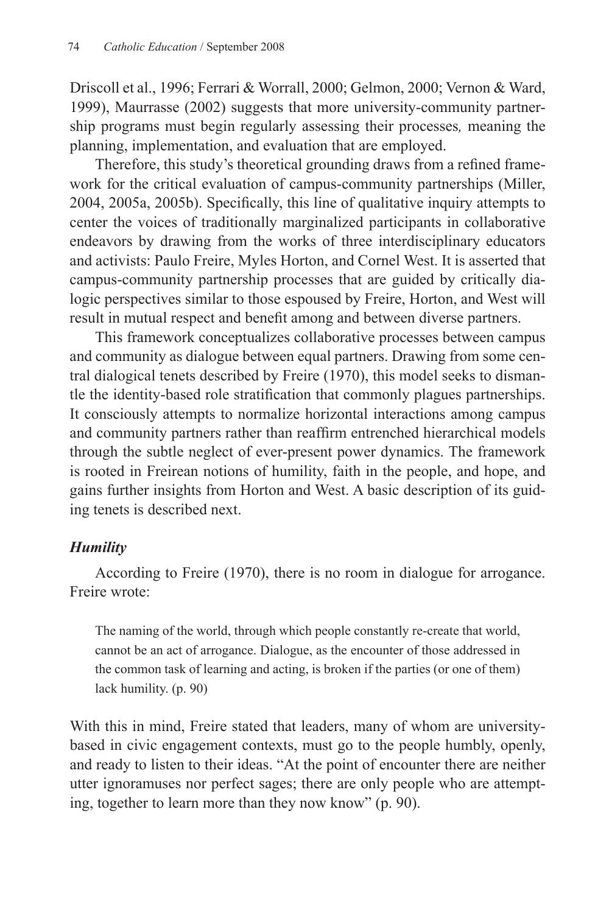Driscoll et al., 1996; Ferrari & Worrall, 2000; Gelmon, 2000; Vernon & Ward, 1999), Maurrasse (2002) suggests that more university-community partnership programs must begin regularly assessing their processes*,* meaning the planning, implementation, and evaluation that are employed.

Therefore, this study's theoretical grounding draws from a refined framework for the critical evaluation of campus-community partnerships (Miller, 2004, 2005a, 2005b). Specifically, this line of qualitative inquiry attempts to center the voices of traditionally marginalized participants in collaborative endeavors by drawing from the works of three interdisciplinary educators and activists: Paulo Freire, Myles Horton, and Cornel West. It is asserted that campus-community partnership processes that are guided by critically dialogic perspectives similar to those espoused by Freire, Horton, and West will result in mutual respect and benefit among and between diverse partners.

This framework conceptualizes collaborative processes between campus and community as dialogue between equal partners. Drawing from some central dialogical tenets described by Freire (1970), this model seeks to dismantle the identity-based role stratification that commonly plagues partnerships. It consciously attempts to normalize horizontal interactions among campus and community partners rather than reaffirm entrenched hierarchical models through the subtle neglect of ever-present power dynamics. The framework is rooted in Freirean notions of humility, faith in the people, and hope, and gains further insights from Horton and West. A basic description of its guiding tenets is described next.

## *Humility*

According to Freire (1970), there is no room in dialogue for arrogance. Freire wrote:

The naming of the world, through which people constantly re-create that world, cannot be an act of arrogance. Dialogue, as the encounter of those addressed in the common task of learning and acting, is broken if the parties (or one of them) lack humility. (p. 90)

With this in mind, Freire stated that leaders, many of whom are universitybased in civic engagement contexts, must go to the people humbly, openly, and ready to listen to their ideas. "At the point of encounter there are neither utter ignoramuses nor perfect sages; there are only people who are attempting, together to learn more than they now know" (p. 90).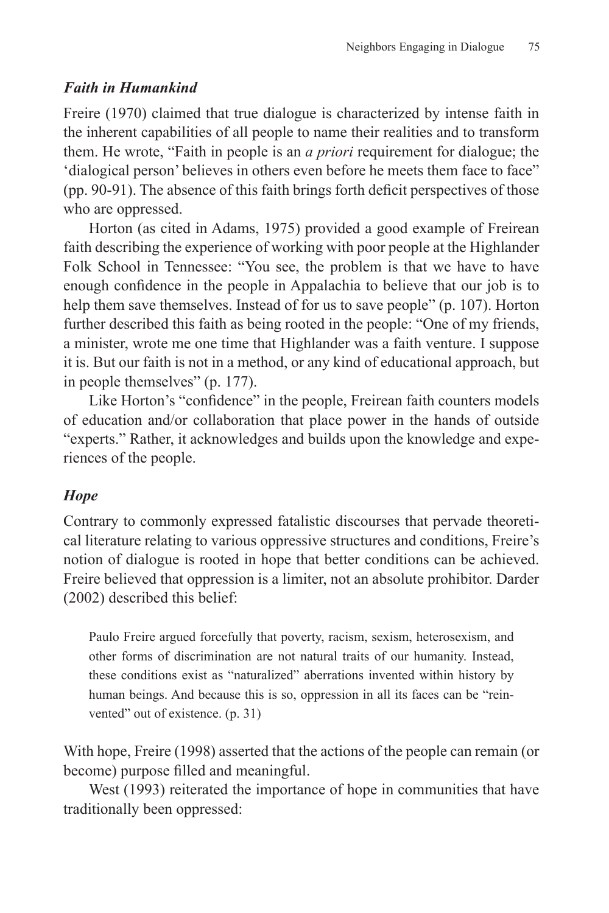## *Faith in Humankind*

Freire (1970) claimed that true dialogue is characterized by intense faith in the inherent capabilities of all people to name their realities and to transform them. He wrote, "Faith in people is an *a priori* requirement for dialogue; the 'dialogical person' believes in others even before he meets them face to face" (pp. 90-91). The absence of this faith brings forth deficit perspectives of those who are oppressed.

Horton (as cited in Adams, 1975) provided a good example of Freirean faith describing the experience of working with poor people at the Highlander Folk School in Tennessee: "You see, the problem is that we have to have enough confidence in the people in Appalachia to believe that our job is to help them save themselves. Instead of for us to save people" (p. 107). Horton further described this faith as being rooted in the people: "One of my friends, a minister, wrote me one time that Highlander was a faith venture. I suppose it is. But our faith is not in a method, or any kind of educational approach, but in people themselves" (p. 177).

Like Horton's "confidence" in the people, Freirean faith counters models of education and/or collaboration that place power in the hands of outside "experts." Rather, it acknowledges and builds upon the knowledge and experiences of the people.

## *Hope*

Contrary to commonly expressed fatalistic discourses that pervade theoretical literature relating to various oppressive structures and conditions, Freire's notion of dialogue is rooted in hope that better conditions can be achieved. Freire believed that oppression is a limiter, not an absolute prohibitor. Darder (2002) described this belief:

Paulo Freire argued forcefully that poverty, racism, sexism, heterosexism, and other forms of discrimination are not natural traits of our humanity. Instead, these conditions exist as "naturalized" aberrations invented within history by human beings. And because this is so, oppression in all its faces can be "reinvented" out of existence. (p. 31)

With hope, Freire (1998) asserted that the actions of the people can remain (or become) purpose filled and meaningful.

West (1993) reiterated the importance of hope in communities that have traditionally been oppressed: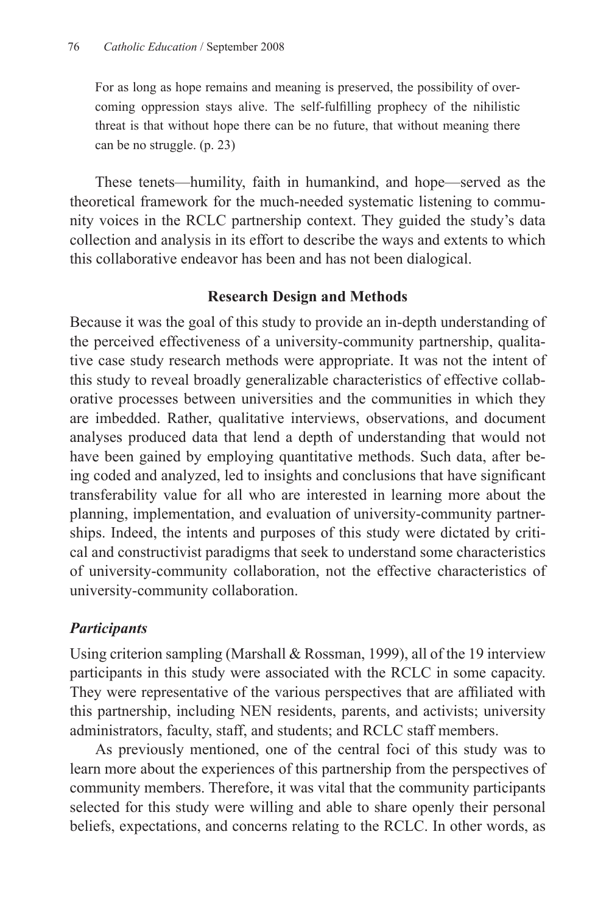For as long as hope remains and meaning is preserved, the possibility of overcoming oppression stays alive. The self-fulfilling prophecy of the nihilistic threat is that without hope there can be no future, that without meaning there can be no struggle. (p. 23)

These tenets—humility, faith in humankind, and hope—served as the theoretical framework for the much-needed systematic listening to community voices in the RCLC partnership context. They guided the study's data collection and analysis in its effort to describe the ways and extents to which this collaborative endeavor has been and has not been dialogical.

#### **Research Design and Methods**

Because it was the goal of this study to provide an in-depth understanding of the perceived effectiveness of a university-community partnership, qualitative case study research methods were appropriate. It was not the intent of this study to reveal broadly generalizable characteristics of effective collaborative processes between universities and the communities in which they are imbedded. Rather, qualitative interviews, observations, and document analyses produced data that lend a depth of understanding that would not have been gained by employing quantitative methods. Such data, after being coded and analyzed, led to insights and conclusions that have significant transferability value for all who are interested in learning more about the planning, implementation, and evaluation of university-community partnerships. Indeed, the intents and purposes of this study were dictated by critical and constructivist paradigms that seek to understand some characteristics of university-community collaboration, not the effective characteristics of university-community collaboration.

## *Participants*

Using criterion sampling (Marshall & Rossman, 1999), all of the 19 interview participants in this study were associated with the RCLC in some capacity. They were representative of the various perspectives that are affiliated with this partnership, including NEN residents, parents, and activists; university administrators, faculty, staff, and students; and RCLC staff members.

As previously mentioned, one of the central foci of this study was to learn more about the experiences of this partnership from the perspectives of community members. Therefore, it was vital that the community participants selected for this study were willing and able to share openly their personal beliefs, expectations, and concerns relating to the RCLC. In other words, as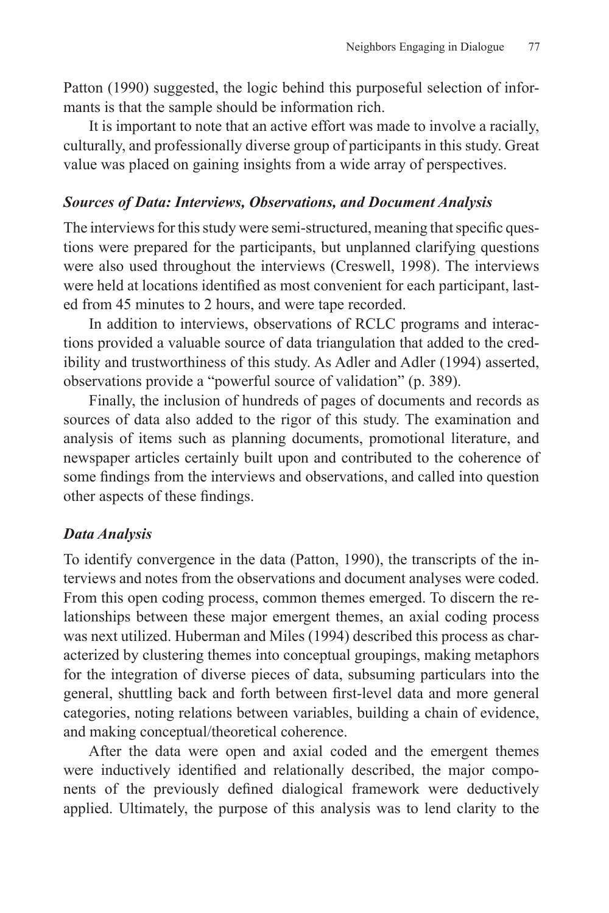Patton (1990) suggested, the logic behind this purposeful selection of informants is that the sample should be information rich.

It is important to note that an active effort was made to involve a racially, culturally, and professionally diverse group of participants in this study. Great value was placed on gaining insights from a wide array of perspectives.

#### *Sources of Data: Interviews, Observations, and Document Analysis*

The interviews for this study were semi-structured, meaning that specific questions were prepared for the participants, but unplanned clarifying questions were also used throughout the interviews (Creswell, 1998). The interviews were held at locations identified as most convenient for each participant, lasted from 45 minutes to 2 hours, and were tape recorded.

In addition to interviews, observations of RCLC programs and interactions provided a valuable source of data triangulation that added to the credibility and trustworthiness of this study. As Adler and Adler (1994) asserted, observations provide a "powerful source of validation" (p. 389).

Finally, the inclusion of hundreds of pages of documents and records as sources of data also added to the rigor of this study. The examination and analysis of items such as planning documents, promotional literature, and newspaper articles certainly built upon and contributed to the coherence of some findings from the interviews and observations, and called into question other aspects of these findings.

#### *Data Analysis*

To identify convergence in the data (Patton, 1990), the transcripts of the interviews and notes from the observations and document analyses were coded. From this open coding process, common themes emerged. To discern the relationships between these major emergent themes, an axial coding process was next utilized. Huberman and Miles (1994) described this process as characterized by clustering themes into conceptual groupings, making metaphors for the integration of diverse pieces of data, subsuming particulars into the general, shuttling back and forth between first-level data and more general categories, noting relations between variables, building a chain of evidence, and making conceptual/theoretical coherence.

After the data were open and axial coded and the emergent themes were inductively identified and relationally described, the major components of the previously defined dialogical framework were deductively applied. Ultimately, the purpose of this analysis was to lend clarity to the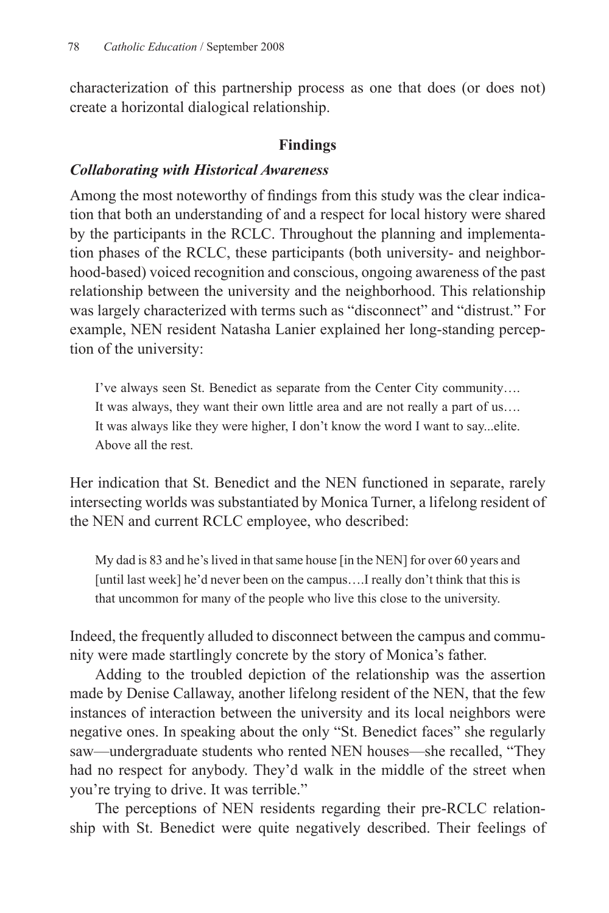characterization of this partnership process as one that does (or does not) create a horizontal dialogical relationship.

#### **Findings**

#### *Collaborating with Historical Awareness*

Among the most noteworthy of findings from this study was the clear indication that both an understanding of and a respect for local history were shared by the participants in the RCLC. Throughout the planning and implementation phases of the RCLC, these participants (both university- and neighborhood-based) voiced recognition and conscious, ongoing awareness of the past relationship between the university and the neighborhood. This relationship was largely characterized with terms such as "disconnect" and "distrust." For example, NEN resident Natasha Lanier explained her long-standing perception of the university:

I've always seen St. Benedict as separate from the Center City community…. It was always, they want their own little area and are not really a part of us…. It was always like they were higher, I don't know the word I want to say...elite. Above all the rest.

Her indication that St. Benedict and the NEN functioned in separate, rarely intersecting worlds was substantiated by Monica Turner, a lifelong resident of the NEN and current RCLC employee, who described:

My dad is 83 and he's lived in that same house [in the NEN] for over 60 years and [until last week] he'd never been on the campus....I really don't think that this is that uncommon for many of the people who live this close to the university.

Indeed, the frequently alluded to disconnect between the campus and community were made startlingly concrete by the story of Monica's father.

Adding to the troubled depiction of the relationship was the assertion made by Denise Callaway, another lifelong resident of the NEN, that the few instances of interaction between the university and its local neighbors were negative ones. In speaking about the only "St. Benedict faces" she regularly saw—undergraduate students who rented NEN houses—she recalled, "They had no respect for anybody. They'd walk in the middle of the street when you're trying to drive. It was terrible."

The perceptions of NEN residents regarding their pre-RCLC relationship with St. Benedict were quite negatively described. Their feelings of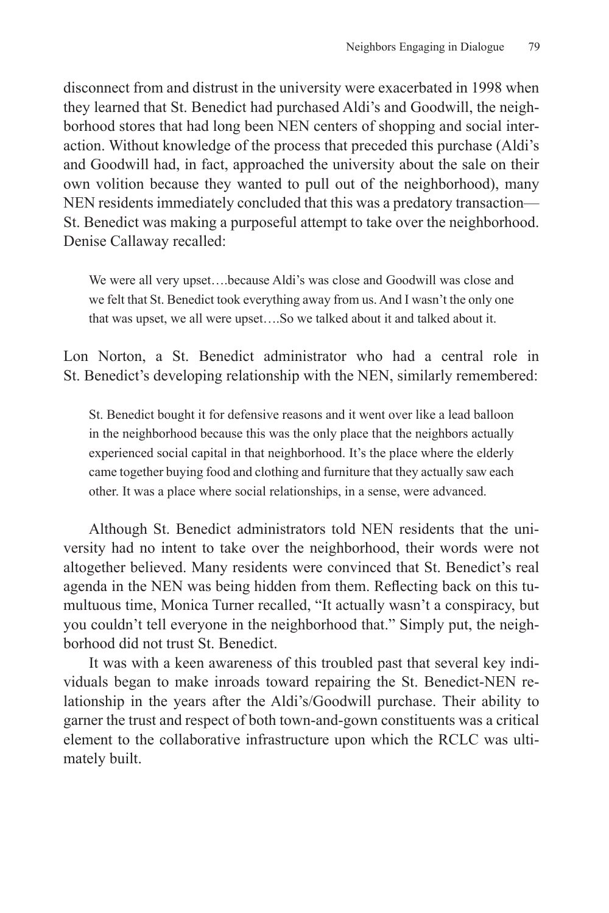disconnect from and distrust in the university were exacerbated in 1998 when they learned that St. Benedict had purchased Aldi's and Goodwill, the neighborhood stores that had long been NEN centers of shopping and social interaction. Without knowledge of the process that preceded this purchase (Aldi's and Goodwill had, in fact, approached the university about the sale on their own volition because they wanted to pull out of the neighborhood), many NEN residents immediately concluded that this was a predatory transaction— St. Benedict was making a purposeful attempt to take over the neighborhood. Denise Callaway recalled:

We were all very upset….because Aldi's was close and Goodwill was close and we felt that St. Benedict took everything away from us. And I wasn't the only one that was upset, we all were upset….So we talked about it and talked about it.

Lon Norton, a St. Benedict administrator who had a central role in St. Benedict's developing relationship with the NEN, similarly remembered:

St. Benedict bought it for defensive reasons and it went over like a lead balloon in the neighborhood because this was the only place that the neighbors actually experienced social capital in that neighborhood. It's the place where the elderly came together buying food and clothing and furniture that they actually saw each other. It was a place where social relationships, in a sense, were advanced.

Although St. Benedict administrators told NEN residents that the university had no intent to take over the neighborhood, their words were not altogether believed. Many residents were convinced that St. Benedict's real agenda in the NEN was being hidden from them. Reflecting back on this tumultuous time, Monica Turner recalled, "It actually wasn't a conspiracy, but you couldn't tell everyone in the neighborhood that." Simply put, the neighborhood did not trust St. Benedict.

It was with a keen awareness of this troubled past that several key individuals began to make inroads toward repairing the St. Benedict-NEN relationship in the years after the Aldi's/Goodwill purchase. Their ability to garner the trust and respect of both town-and-gown constituents was a critical element to the collaborative infrastructure upon which the RCLC was ultimately built.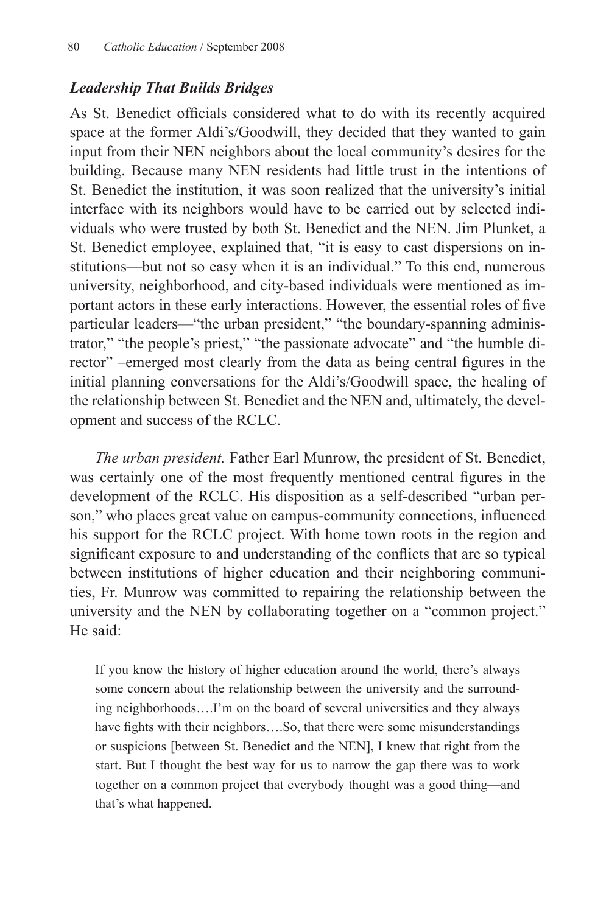## *Leadership That Builds Bridges*

As St. Benedict officials considered what to do with its recently acquired space at the former Aldi's/Goodwill, they decided that they wanted to gain input from their NEN neighbors about the local community's desires for the building. Because many NEN residents had little trust in the intentions of St. Benedict the institution, it was soon realized that the university's initial interface with its neighbors would have to be carried out by selected individuals who were trusted by both St. Benedict and the NEN. Jim Plunket, a St. Benedict employee, explained that, "it is easy to cast dispersions on institutions—but not so easy when it is an individual." To this end, numerous university, neighborhood, and city-based individuals were mentioned as important actors in these early interactions. However, the essential roles of five particular leaders—"the urban president," "the boundary-spanning administrator," "the people's priest," "the passionate advocate" and "the humble director" –emerged most clearly from the data as being central figures in the initial planning conversations for the Aldi's/Goodwill space, the healing of the relationship between St. Benedict and the NEN and, ultimately, the development and success of the RCLC.

*The urban president.* Father Earl Munrow, the president of St. Benedict, was certainly one of the most frequently mentioned central figures in the development of the RCLC. His disposition as a self-described "urban person," who places great value on campus-community connections, influenced his support for the RCLC project. With home town roots in the region and significant exposure to and understanding of the conflicts that are so typical between institutions of higher education and their neighboring communities, Fr. Munrow was committed to repairing the relationship between the university and the NEN by collaborating together on a "common project." He said:

If you know the history of higher education around the world, there's always some concern about the relationship between the university and the surrounding neighborhoods….I'm on the board of several universities and they always have fights with their neighbors....So, that there were some misunderstandings or suspicions [between St. Benedict and the NEN], I knew that right from the start. But I thought the best way for us to narrow the gap there was to work together on a common project that everybody thought was a good thing—and that's what happened.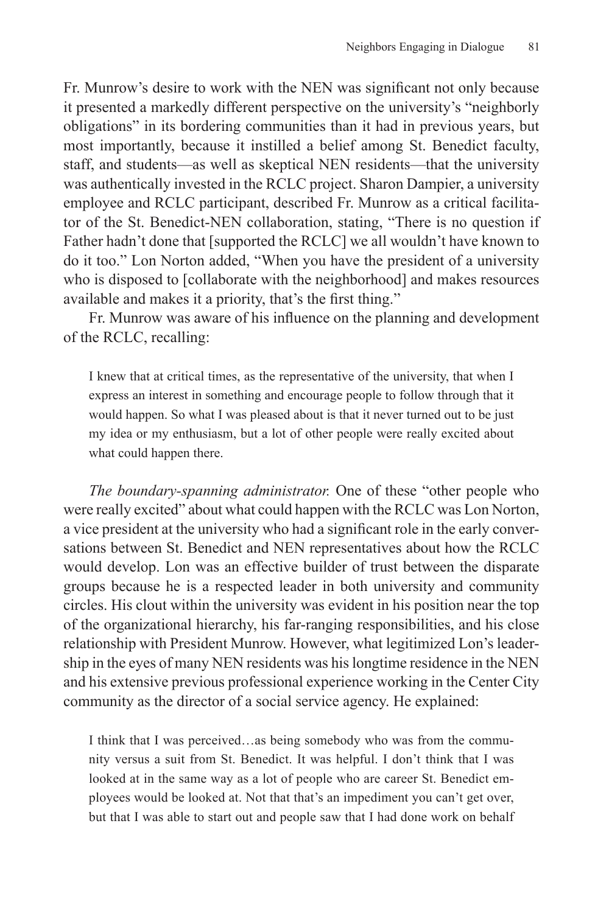Fr. Munrow's desire to work with the NEN was significant not only because it presented a markedly different perspective on the university's "neighborly obligations" in its bordering communities than it had in previous years, but most importantly, because it instilled a belief among St. Benedict faculty, staff, and students—as well as skeptical NEN residents—that the university was authentically invested in the RCLC project. Sharon Dampier, a university employee and RCLC participant, described Fr. Munrow as a critical facilitator of the St. Benedict-NEN collaboration, stating, "There is no question if Father hadn't done that [supported the RCLC] we all wouldn't have known to do it too." Lon Norton added, "When you have the president of a university who is disposed to [collaborate with the neighborhood] and makes resources available and makes it a priority, that's the first thing."

Fr. Munrow was aware of his influence on the planning and development of the RCLC, recalling:

I knew that at critical times, as the representative of the university, that when I express an interest in something and encourage people to follow through that it would happen. So what I was pleased about is that it never turned out to be just my idea or my enthusiasm, but a lot of other people were really excited about what could happen there.

*The boundary-spanning administrator.* One of these "other people who were really excited" about what could happen with the RCLC was Lon Norton, a vice president at the university who had a significant role in the early conversations between St. Benedict and NEN representatives about how the RCLC would develop. Lon was an effective builder of trust between the disparate groups because he is a respected leader in both university and community circles. His clout within the university was evident in his position near the top of the organizational hierarchy, his far-ranging responsibilities, and his close relationship with President Munrow. However, what legitimized Lon's leadership in the eyes of many NEN residents was his longtime residence in the NEN and his extensive previous professional experience working in the Center City community as the director of a social service agency. He explained:

I think that I was perceived…as being somebody who was from the community versus a suit from St. Benedict. It was helpful. I don't think that I was looked at in the same way as a lot of people who are career St. Benedict employees would be looked at. Not that that's an impediment you can't get over, but that I was able to start out and people saw that I had done work on behalf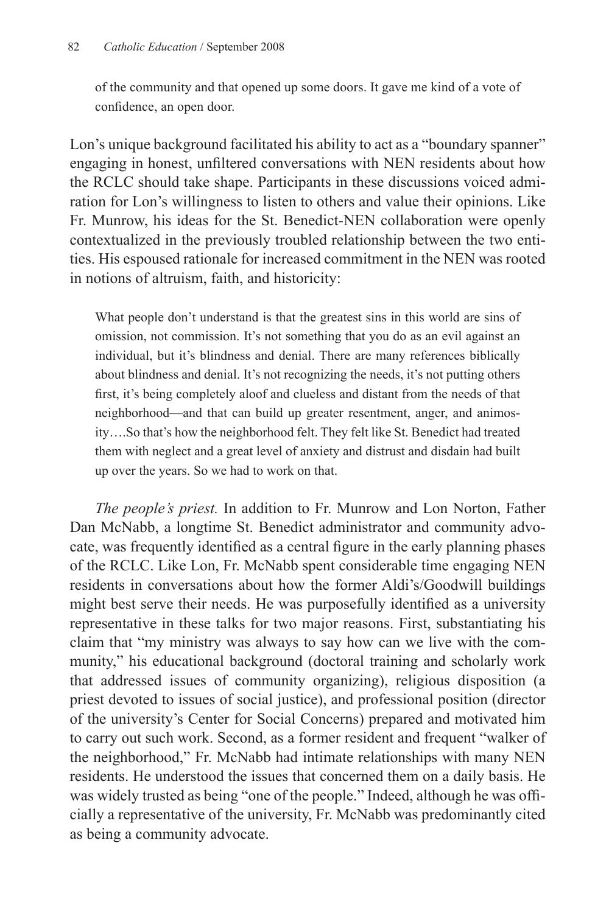of the community and that opened up some doors. It gave me kind of a vote of confidence, an open door.

Lon's unique background facilitated his ability to act as a "boundary spanner" engaging in honest, unfiltered conversations with NEN residents about how the RCLC should take shape. Participants in these discussions voiced admiration for Lon's willingness to listen to others and value their opinions. Like Fr. Munrow, his ideas for the St. Benedict-NEN collaboration were openly contextualized in the previously troubled relationship between the two entities. His espoused rationale for increased commitment in the NEN was rooted in notions of altruism, faith, and historicity:

What people don't understand is that the greatest sins in this world are sins of omission, not commission. It's not something that you do as an evil against an individual, but it's blindness and denial. There are many references biblically about blindness and denial. It's not recognizing the needs, it's not putting others first, it's being completely aloof and clueless and distant from the needs of that neighborhood—and that can build up greater resentment, anger, and animosity….So that's how the neighborhood felt. They felt like St. Benedict had treated them with neglect and a great level of anxiety and distrust and disdain had built up over the years. So we had to work on that.

*The people's priest.* In addition to Fr. Munrow and Lon Norton, Father Dan McNabb, a longtime St. Benedict administrator and community advocate, was frequently identified as a central figure in the early planning phases of the RCLC. Like Lon, Fr. McNabb spent considerable time engaging NEN residents in conversations about how the former Aldi's/Goodwill buildings might best serve their needs. He was purposefully identified as a university representative in these talks for two major reasons. First, substantiating his claim that "my ministry was always to say how can we live with the community," his educational background (doctoral training and scholarly work that addressed issues of community organizing), religious disposition (a priest devoted to issues of social justice), and professional position (director of the university's Center for Social Concerns) prepared and motivated him to carry out such work. Second, as a former resident and frequent "walker of the neighborhood," Fr. McNabb had intimate relationships with many NEN residents. He understood the issues that concerned them on a daily basis. He was widely trusted as being "one of the people." Indeed, although he was officially a representative of the university, Fr. McNabb was predominantly cited as being a community advocate.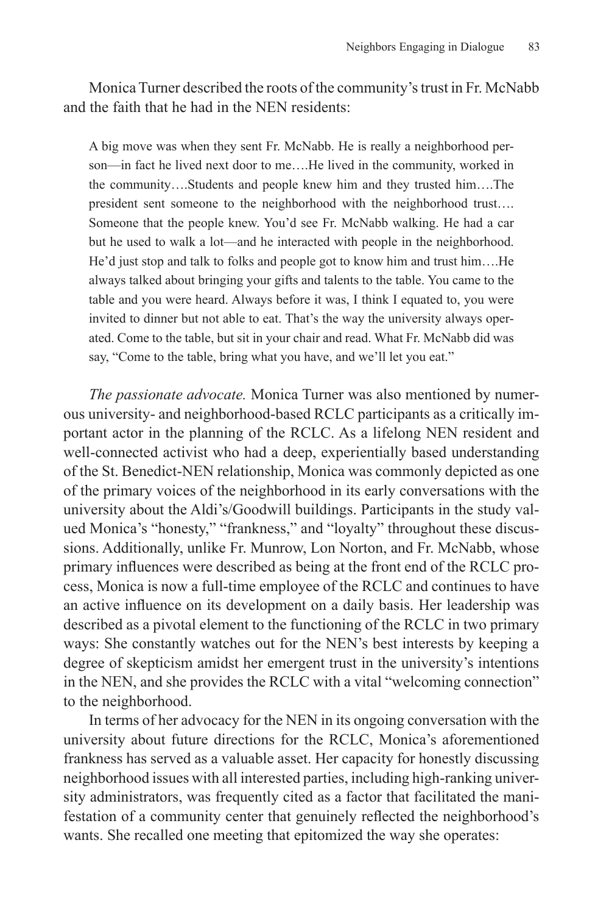Monica Turner described the roots of the community's trust in Fr. McNabb and the faith that he had in the NEN residents:

A big move was when they sent Fr. McNabb. He is really a neighborhood person—in fact he lived next door to me….He lived in the community, worked in the community….Students and people knew him and they trusted him….The president sent someone to the neighborhood with the neighborhood trust…. Someone that the people knew. You'd see Fr. McNabb walking. He had a car but he used to walk a lot—and he interacted with people in the neighborhood. He'd just stop and talk to folks and people got to know him and trust him….He always talked about bringing your gifts and talents to the table. You came to the table and you were heard. Always before it was, I think I equated to, you were invited to dinner but not able to eat. That's the way the university always operated. Come to the table, but sit in your chair and read. What Fr. McNabb did was say, "Come to the table, bring what you have, and we'll let you eat."

*The passionate advocate.* Monica Turner was also mentioned by numerous university- and neighborhood-based RCLC participants as a critically important actor in the planning of the RCLC. As a lifelong NEN resident and well-connected activist who had a deep, experientially based understanding of the St. Benedict-NEN relationship, Monica was commonly depicted as one of the primary voices of the neighborhood in its early conversations with the university about the Aldi's/Goodwill buildings. Participants in the study valued Monica's "honesty," "frankness," and "loyalty" throughout these discussions. Additionally, unlike Fr. Munrow, Lon Norton, and Fr. McNabb, whose primary influences were described as being at the front end of the RCLC process, Monica is now a full-time employee of the RCLC and continues to have an active influence on its development on a daily basis. Her leadership was described as a pivotal element to the functioning of the RCLC in two primary ways: She constantly watches out for the NEN's best interests by keeping a degree of skepticism amidst her emergent trust in the university's intentions in the NEN, and she provides the RCLC with a vital "welcoming connection" to the neighborhood.

In terms of her advocacy for the NEN in its ongoing conversation with the university about future directions for the RCLC, Monica's aforementioned frankness has served as a valuable asset. Her capacity for honestly discussing neighborhood issues with all interested parties, including high-ranking university administrators, was frequently cited as a factor that facilitated the manifestation of a community center that genuinely reflected the neighborhood's wants. She recalled one meeting that epitomized the way she operates: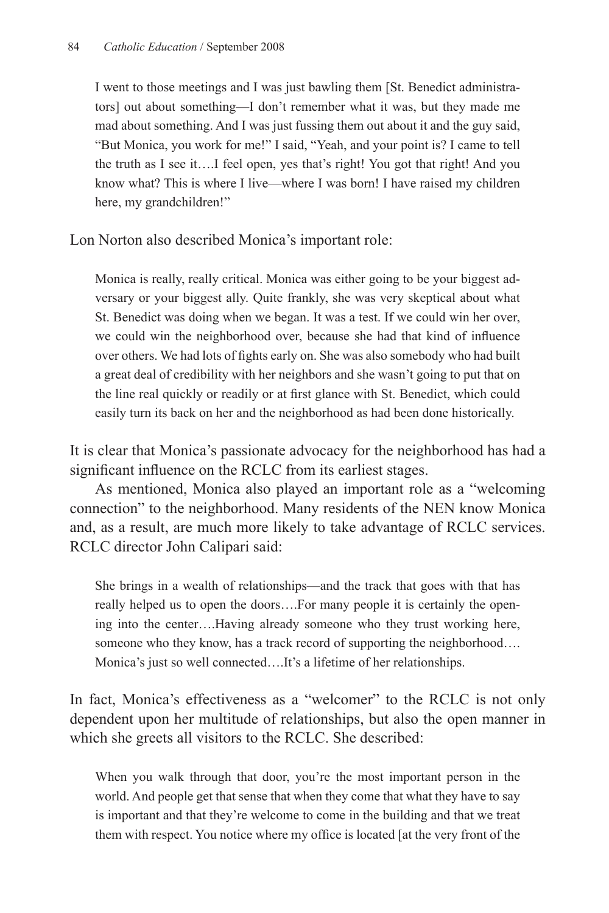I went to those meetings and I was just bawling them [St. Benedict administrators] out about something—I don't remember what it was, but they made me mad about something. And I was just fussing them out about it and the guy said, "But Monica, you work for me!" I said, "Yeah, and your point is? I came to tell the truth as I see it….I feel open, yes that's right! You got that right! And you know what? This is where I live—where I was born! I have raised my children here, my grandchildren!"

Lon Norton also described Monica's important role:

Monica is really, really critical. Monica was either going to be your biggest adversary or your biggest ally. Quite frankly, she was very skeptical about what St. Benedict was doing when we began. It was a test. If we could win her over, we could win the neighborhood over, because she had that kind of influence over others. We had lots of fights early on. She was also somebody who had built a great deal of credibility with her neighbors and she wasn't going to put that on the line real quickly or readily or at first glance with St. Benedict, which could easily turn its back on her and the neighborhood as had been done historically.

It is clear that Monica's passionate advocacy for the neighborhood has had a significant influence on the RCLC from its earliest stages.

As mentioned, Monica also played an important role as a "welcoming connection" to the neighborhood. Many residents of the NEN know Monica and, as a result, are much more likely to take advantage of RCLC services. RCLC director John Calipari said:

She brings in a wealth of relationships—and the track that goes with that has really helped us to open the doors….For many people it is certainly the opening into the center….Having already someone who they trust working here, someone who they know, has a track record of supporting the neighborhood.... Monica's just so well connected….It's a lifetime of her relationships.

In fact, Monica's effectiveness as a "welcomer" to the RCLC is not only dependent upon her multitude of relationships, but also the open manner in which she greets all visitors to the RCLC. She described:

When you walk through that door, you're the most important person in the world. And people get that sense that when they come that what they have to say is important and that they're welcome to come in the building and that we treat them with respect. You notice where my office is located [at the very front of the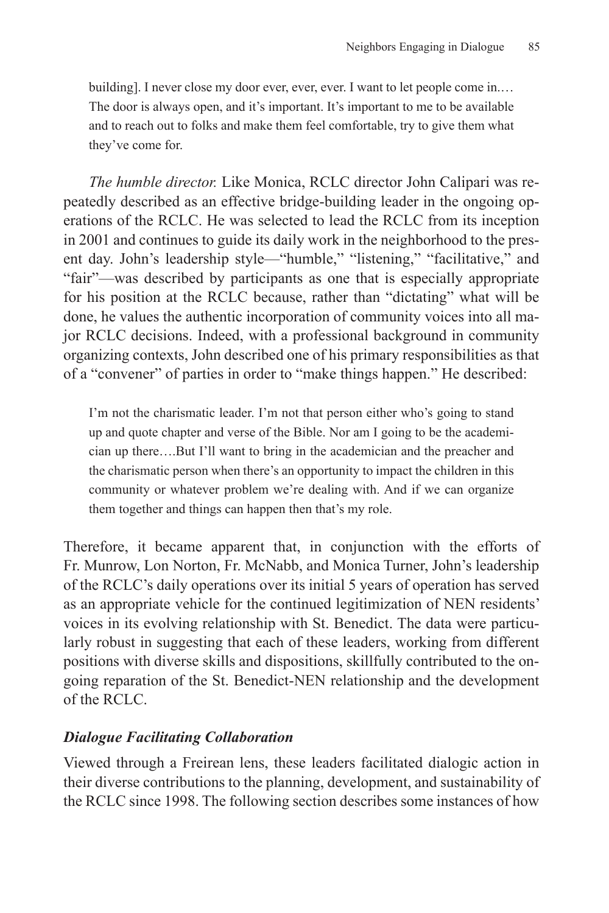building]. I never close my door ever, ever, ever. I want to let people come in.... The door is always open, and it's important. It's important to me to be available and to reach out to folks and make them feel comfortable, try to give them what they've come for.

*The humble director.* Like Monica, RCLC director John Calipari was repeatedly described as an effective bridge-building leader in the ongoing operations of the RCLC. He was selected to lead the RCLC from its inception in 2001 and continues to guide its daily work in the neighborhood to the present day. John's leadership style—"humble," "listening," "facilitative," and "fair"—was described by participants as one that is especially appropriate for his position at the RCLC because, rather than "dictating" what will be done, he values the authentic incorporation of community voices into all major RCLC decisions. Indeed, with a professional background in community organizing contexts, John described one of his primary responsibilities as that of a "convener" of parties in order to "make things happen." He described:

I'm not the charismatic leader. I'm not that person either who's going to stand up and quote chapter and verse of the Bible. Nor am I going to be the academician up there….But I'll want to bring in the academician and the preacher and the charismatic person when there's an opportunity to impact the children in this community or whatever problem we're dealing with. And if we can organize them together and things can happen then that's my role.

Therefore, it became apparent that, in conjunction with the efforts of Fr. Munrow, Lon Norton, Fr. McNabb, and Monica Turner, John's leadership of the RCLC's daily operations over its initial 5 years of operation has served as an appropriate vehicle for the continued legitimization of NEN residents' voices in its evolving relationship with St. Benedict. The data were particularly robust in suggesting that each of these leaders, working from different positions with diverse skills and dispositions, skillfully contributed to the ongoing reparation of the St. Benedict-NEN relationship and the development of the RCLC.

#### *Dialogue Facilitating Collaboration*

Viewed through a Freirean lens, these leaders facilitated dialogic action in their diverse contributions to the planning, development, and sustainability of the RCLC since 1998. The following section describes some instances of how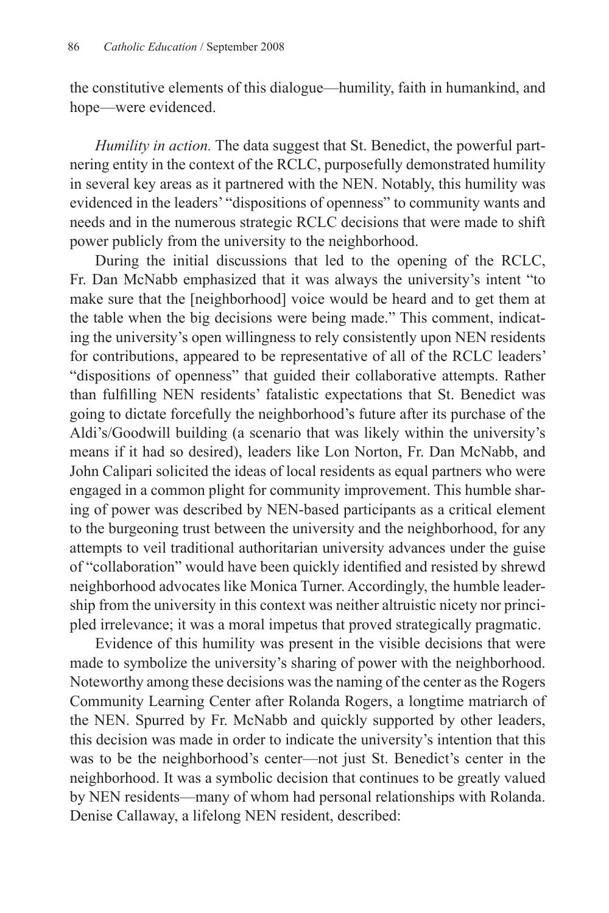the constitutive elements of this dialogue—humility, faith in humankind, and hope—were evidenced.

*Humility in action.* The data suggest that St. Benedict, the powerful partnering entity in the context of the RCLC, purposefully demonstrated humility in several key areas as it partnered with the NEN. Notably, this humility was evidenced in the leaders' "dispositions of openness" to community wants and needs and in the numerous strategic RCLC decisions that were made to shift power publicly from the university to the neighborhood.

During the initial discussions that led to the opening of the RCLC, Fr. Dan McNabb emphasized that it was always the university's intent "to make sure that the [neighborhood] voice would be heard and to get them at the table when the big decisions were being made." This comment, indicating the university's open willingness to rely consistently upon NEN residents for contributions, appeared to be representative of all of the RCLC leaders' "dispositions of openness" that guided their collaborative attempts. Rather than fulfilling NEN residents' fatalistic expectations that St. Benedict was going to dictate forcefully the neighborhood's future after its purchase of the Aldi's/Goodwill building (a scenario that was likely within the university's means if it had so desired), leaders like Lon Norton, Fr. Dan McNabb, and John Calipari solicited the ideas of local residents as equal partners who were engaged in a common plight for community improvement. This humble sharing of power was described by NEN-based participants as a critical element to the burgeoning trust between the university and the neighborhood, for any attempts to veil traditional authoritarian university advances under the guise of "collaboration" would have been quickly identified and resisted by shrewd neighborhood advocates like Monica Turner. Accordingly, the humble leadership from the university in this context was neither altruistic nicety nor principled irrelevance; it was a moral impetus that proved strategically pragmatic.

Evidence of this humility was present in the visible decisions that were made to symbolize the university's sharing of power with the neighborhood. Noteworthy among these decisions was the naming of the center as the Rogers Community Learning Center after Rolanda Rogers, a longtime matriarch of the NEN. Spurred by Fr. McNabb and quickly supported by other leaders, this decision was made in order to indicate the university's intention that this was to be the neighborhood's center—not just St. Benedict's center in the neighborhood. It was a symbolic decision that continues to be greatly valued by NEN residents—many of whom had personal relationships with Rolanda. Denise Callaway, a lifelong NEN resident, described: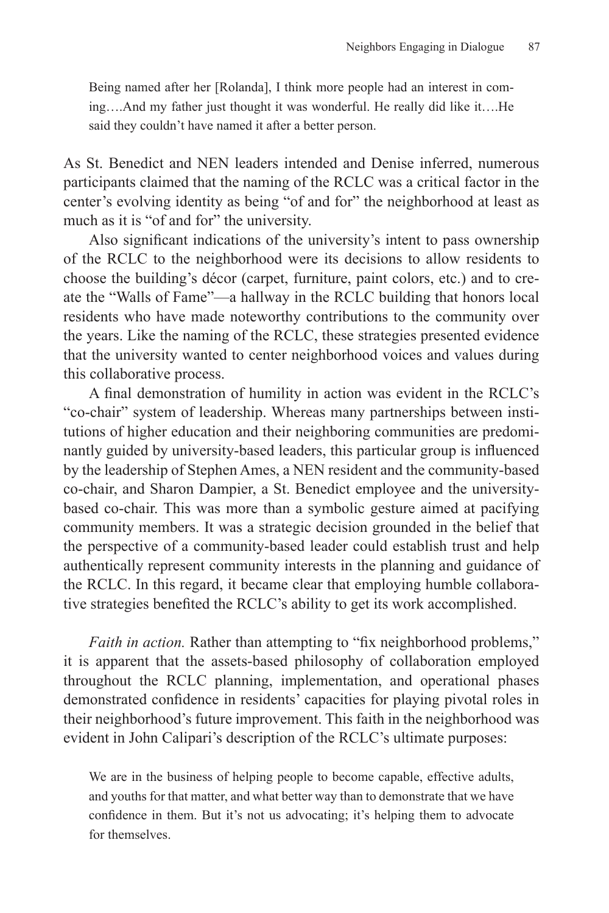Being named after her [Rolanda], I think more people had an interest in coming….And my father just thought it was wonderful. He really did like it….He said they couldn't have named it after a better person.

As St. Benedict and NEN leaders intended and Denise inferred, numerous participants claimed that the naming of the RCLC was a critical factor in the center's evolving identity as being "of and for" the neighborhood at least as much as it is "of and for" the university.

Also significant indications of the university's intent to pass ownership of the RCLC to the neighborhood were its decisions to allow residents to choose the building's décor (carpet, furniture, paint colors, etc.) and to create the "Walls of Fame"—a hallway in the RCLC building that honors local residents who have made noteworthy contributions to the community over the years. Like the naming of the RCLC, these strategies presented evidence that the university wanted to center neighborhood voices and values during this collaborative process.

A final demonstration of humility in action was evident in the RCLC's "co-chair" system of leadership. Whereas many partnerships between institutions of higher education and their neighboring communities are predominantly guided by university-based leaders, this particular group is influenced by the leadership of Stephen Ames, a NEN resident and the community-based co-chair, and Sharon Dampier, a St. Benedict employee and the universitybased co-chair. This was more than a symbolic gesture aimed at pacifying community members. It was a strategic decision grounded in the belief that the perspective of a community-based leader could establish trust and help authentically represent community interests in the planning and guidance of the RCLC. In this regard, it became clear that employing humble collaborative strategies benefited the RCLC's ability to get its work accomplished.

*Faith in action.* Rather than attempting to "fix neighborhood problems," it is apparent that the assets-based philosophy of collaboration employed throughout the RCLC planning, implementation, and operational phases demonstrated confidence in residents' capacities for playing pivotal roles in their neighborhood's future improvement. This faith in the neighborhood was evident in John Calipari's description of the RCLC's ultimate purposes:

We are in the business of helping people to become capable, effective adults, and youths for that matter, and what better way than to demonstrate that we have confidence in them. But it's not us advocating; it's helping them to advocate for themselves.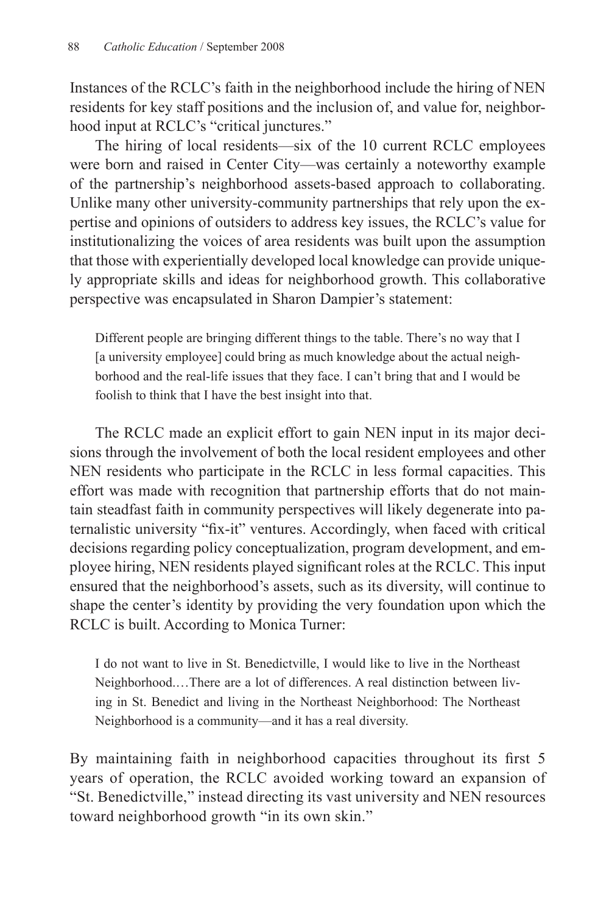Instances of the RCLC's faith in the neighborhood include the hiring of NEN residents for key staff positions and the inclusion of, and value for, neighborhood input at RCLC's "critical junctures."

The hiring of local residents—six of the 10 current RCLC employees were born and raised in Center City—was certainly a noteworthy example of the partnership's neighborhood assets-based approach to collaborating. Unlike many other university-community partnerships that rely upon the expertise and opinions of outsiders to address key issues, the RCLC's value for institutionalizing the voices of area residents was built upon the assumption that those with experientially developed local knowledge can provide uniquely appropriate skills and ideas for neighborhood growth. This collaborative perspective was encapsulated in Sharon Dampier's statement:

Different people are bringing different things to the table. There's no way that I [a university employee] could bring as much knowledge about the actual neighborhood and the real-life issues that they face. I can't bring that and I would be foolish to think that I have the best insight into that.

The RCLC made an explicit effort to gain NEN input in its major decisions through the involvement of both the local resident employees and other NEN residents who participate in the RCLC in less formal capacities. This effort was made with recognition that partnership efforts that do not maintain steadfast faith in community perspectives will likely degenerate into paternalistic university "fix-it" ventures. Accordingly, when faced with critical decisions regarding policy conceptualization, program development, and employee hiring, NEN residents played significant roles at the RCLC. This input ensured that the neighborhood's assets, such as its diversity, will continue to shape the center's identity by providing the very foundation upon which the RCLC is built. According to Monica Turner:

I do not want to live in St. Benedictville, I would like to live in the Northeast Neighborhood.…There are a lot of differences. A real distinction between living in St. Benedict and living in the Northeast Neighborhood: The Northeast Neighborhood is a community—and it has a real diversity.

By maintaining faith in neighborhood capacities throughout its first 5 years of operation, the RCLC avoided working toward an expansion of "St. Benedictville," instead directing its vast university and NEN resources toward neighborhood growth "in its own skin."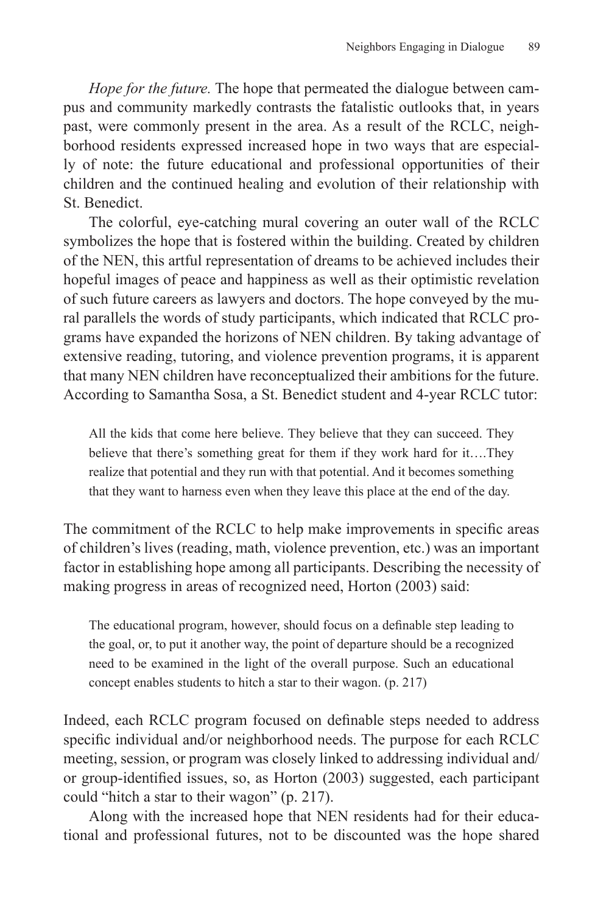*Hope for the future.* The hope that permeated the dialogue between campus and community markedly contrasts the fatalistic outlooks that, in years past, were commonly present in the area. As a result of the RCLC, neighborhood residents expressed increased hope in two ways that are especially of note: the future educational and professional opportunities of their children and the continued healing and evolution of their relationship with St. Benedict.

The colorful, eye-catching mural covering an outer wall of the RCLC symbolizes the hope that is fostered within the building. Created by children of the NEN, this artful representation of dreams to be achieved includes their hopeful images of peace and happiness as well as their optimistic revelation of such future careers as lawyers and doctors. The hope conveyed by the mural parallels the words of study participants, which indicated that RCLC programs have expanded the horizons of NEN children. By taking advantage of extensive reading, tutoring, and violence prevention programs, it is apparent that many NEN children have reconceptualized their ambitions for the future. According to Samantha Sosa, a St. Benedict student and 4-year RCLC tutor:

All the kids that come here believe. They believe that they can succeed. They believe that there's something great for them if they work hard for it….They realize that potential and they run with that potential. And it becomes something that they want to harness even when they leave this place at the end of the day.

The commitment of the RCLC to help make improvements in specific areas of children's lives (reading, math, violence prevention, etc.) was an important factor in establishing hope among all participants. Describing the necessity of making progress in areas of recognized need, Horton (2003) said:

The educational program, however, should focus on a definable step leading to the goal, or, to put it another way, the point of departure should be a recognized need to be examined in the light of the overall purpose. Such an educational concept enables students to hitch a star to their wagon. (p. 217)

Indeed, each RCLC program focused on definable steps needed to address specific individual and/or neighborhood needs. The purpose for each RCLC meeting, session, or program was closely linked to addressing individual and/ or group-identified issues, so, as Horton (2003) suggested, each participant could "hitch a star to their wagon" (p. 217).

Along with the increased hope that NEN residents had for their educational and professional futures, not to be discounted was the hope shared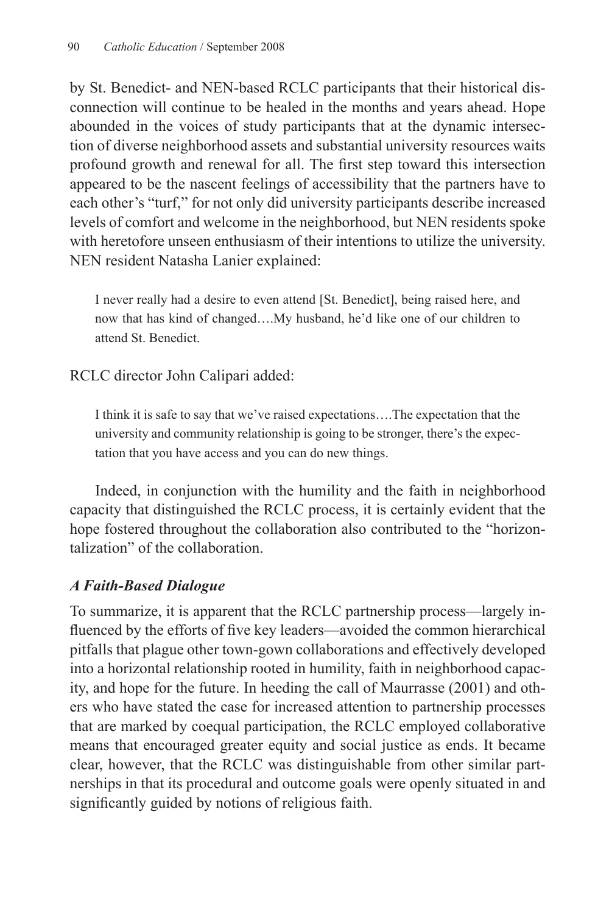by St. Benedict- and NEN-based RCLC participants that their historical disconnection will continue to be healed in the months and years ahead. Hope abounded in the voices of study participants that at the dynamic intersection of diverse neighborhood assets and substantial university resources waits profound growth and renewal for all. The first step toward this intersection appeared to be the nascent feelings of accessibility that the partners have to each other's "turf," for not only did university participants describe increased levels of comfort and welcome in the neighborhood, but NEN residents spoke with heretofore unseen enthusiasm of their intentions to utilize the university. NEN resident Natasha Lanier explained:

I never really had a desire to even attend [St. Benedict], being raised here, and now that has kind of changed….My husband, he'd like one of our children to attend St. Benedict.

RCLC director John Calipari added:

I think it is safe to say that we've raised expectations….The expectation that the university and community relationship is going to be stronger, there's the expectation that you have access and you can do new things.

Indeed, in conjunction with the humility and the faith in neighborhood capacity that distinguished the RCLC process, it is certainly evident that the hope fostered throughout the collaboration also contributed to the "horizontalization" of the collaboration.

## *A Faith-Based Dialogue*

To summarize, it is apparent that the RCLC partnership process—largely influenced by the efforts of five key leaders—avoided the common hierarchical pitfalls that plague other town-gown collaborations and effectively developed into a horizontal relationship rooted in humility, faith in neighborhood capacity, and hope for the future. In heeding the call of Maurrasse (2001) and others who have stated the case for increased attention to partnership processes that are marked by coequal participation, the RCLC employed collaborative means that encouraged greater equity and social justice as ends. It became clear, however, that the RCLC was distinguishable from other similar partnerships in that its procedural and outcome goals were openly situated in and significantly guided by notions of religious faith.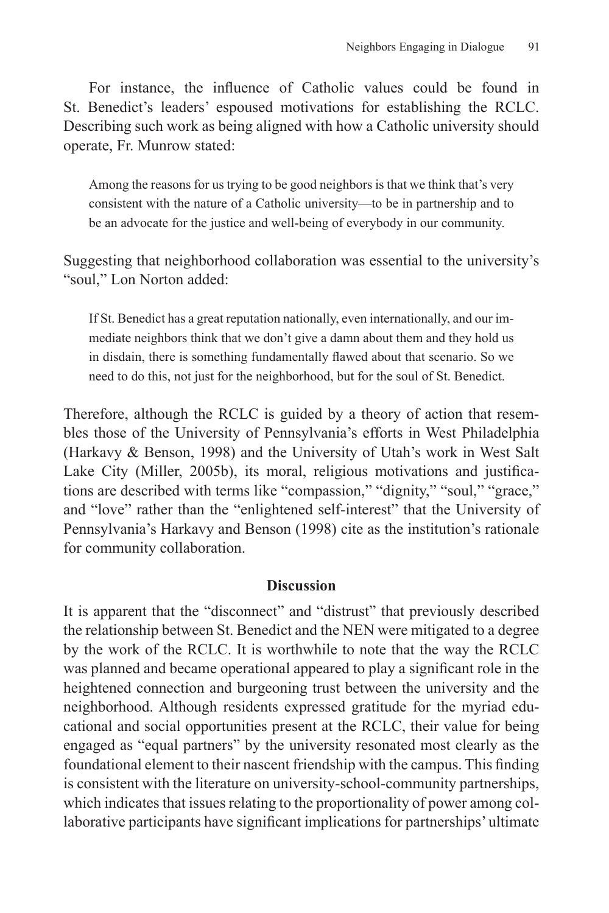For instance, the influence of Catholic values could be found in St. Benedict's leaders' espoused motivations for establishing the RCLC. Describing such work as being aligned with how a Catholic university should operate, Fr. Munrow stated:

Among the reasons for us trying to be good neighbors is that we think that's very consistent with the nature of a Catholic university—to be in partnership and to be an advocate for the justice and well-being of everybody in our community.

Suggesting that neighborhood collaboration was essential to the university's "soul," Lon Norton added:

If St. Benedict has a great reputation nationally, even internationally, and our immediate neighbors think that we don't give a damn about them and they hold us in disdain, there is something fundamentally flawed about that scenario. So we need to do this, not just for the neighborhood, but for the soul of St. Benedict.

Therefore, although the RCLC is guided by a theory of action that resembles those of the University of Pennsylvania's efforts in West Philadelphia (Harkavy & Benson, 1998) and the University of Utah's work in West Salt Lake City (Miller, 2005b), its moral, religious motivations and justifications are described with terms like "compassion," "dignity," "soul," "grace," and "love" rather than the "enlightened self-interest" that the University of Pennsylvania's Harkavy and Benson (1998) cite as the institution's rationale for community collaboration.

#### **Discussion**

It is apparent that the "disconnect" and "distrust" that previously described the relationship between St. Benedict and the NEN were mitigated to a degree by the work of the RCLC. It is worthwhile to note that the way the RCLC was planned and became operational appeared to play a significant role in the heightened connection and burgeoning trust between the university and the neighborhood. Although residents expressed gratitude for the myriad educational and social opportunities present at the RCLC, their value for being engaged as "equal partners" by the university resonated most clearly as the foundational element to their nascent friendship with the campus. This finding is consistent with the literature on university-school-community partnerships, which indicates that issues relating to the proportionality of power among collaborative participants have significant implications for partnerships' ultimate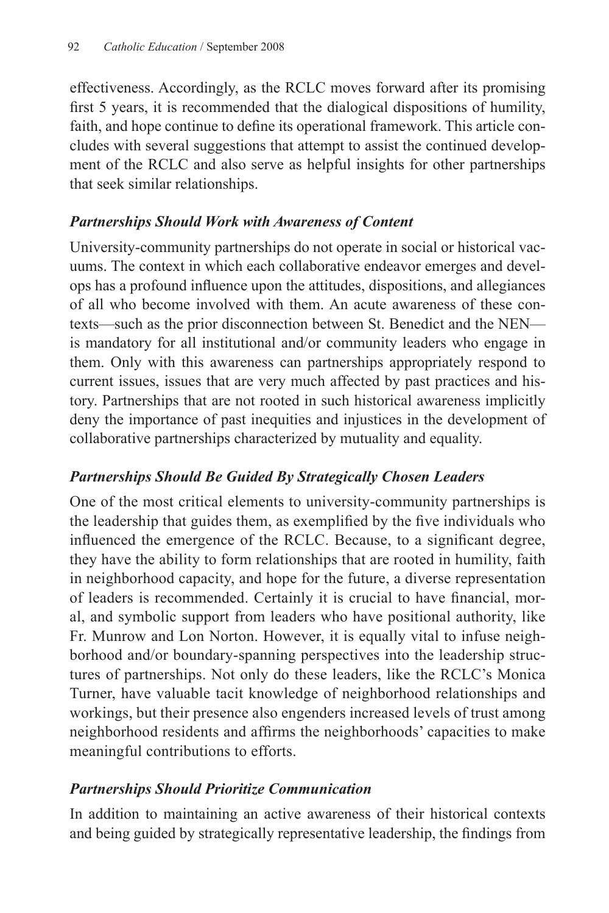effectiveness. Accordingly, as the RCLC moves forward after its promising first 5 years, it is recommended that the dialogical dispositions of humility, faith, and hope continue to define its operational framework. This article concludes with several suggestions that attempt to assist the continued development of the RCLC and also serve as helpful insights for other partnerships that seek similar relationships.

## *Partnerships Should Work with Awareness of Content*

University-community partnerships do not operate in social or historical vacuums. The context in which each collaborative endeavor emerges and develops has a profound influence upon the attitudes, dispositions, and allegiances of all who become involved with them. An acute awareness of these contexts—such as the prior disconnection between St. Benedict and the NEN is mandatory for all institutional and/or community leaders who engage in them. Only with this awareness can partnerships appropriately respond to current issues, issues that are very much affected by past practices and history. Partnerships that are not rooted in such historical awareness implicitly deny the importance of past inequities and injustices in the development of collaborative partnerships characterized by mutuality and equality.

## *Partnerships Should Be Guided By Strategically Chosen Leaders*

One of the most critical elements to university-community partnerships is the leadership that guides them, as exemplified by the five individuals who influenced the emergence of the RCLC. Because, to a significant degree, they have the ability to form relationships that are rooted in humility, faith in neighborhood capacity, and hope for the future, a diverse representation of leaders is recommended. Certainly it is crucial to have financial, moral, and symbolic support from leaders who have positional authority, like Fr. Munrow and Lon Norton. However, it is equally vital to infuse neighborhood and/or boundary-spanning perspectives into the leadership structures of partnerships. Not only do these leaders, like the RCLC's Monica Turner, have valuable tacit knowledge of neighborhood relationships and workings, but their presence also engenders increased levels of trust among neighborhood residents and affirms the neighborhoods' capacities to make meaningful contributions to efforts.

## *Partnerships Should Prioritize Communication*

In addition to maintaining an active awareness of their historical contexts and being guided by strategically representative leadership, the findings from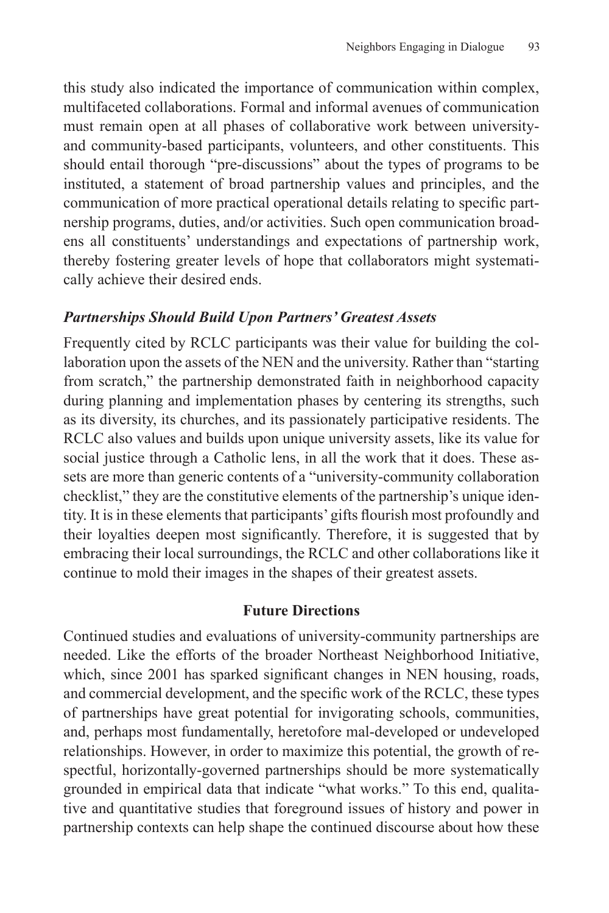this study also indicated the importance of communication within complex, multifaceted collaborations. Formal and informal avenues of communication must remain open at all phases of collaborative work between universityand community-based participants, volunteers, and other constituents. This should entail thorough "pre-discussions" about the types of programs to be instituted, a statement of broad partnership values and principles, and the communication of more practical operational details relating to specific partnership programs, duties, and/or activities. Such open communication broadens all constituents' understandings and expectations of partnership work, thereby fostering greater levels of hope that collaborators might systematically achieve their desired ends.

#### *Partnerships Should Build Upon Partners' Greatest Assets*

Frequently cited by RCLC participants was their value for building the collaboration upon the assets of the NEN and the university. Rather than "starting from scratch," the partnership demonstrated faith in neighborhood capacity during planning and implementation phases by centering its strengths, such as its diversity, its churches, and its passionately participative residents. The RCLC also values and builds upon unique university assets, like its value for social justice through a Catholic lens, in all the work that it does. These assets are more than generic contents of a "university-community collaboration checklist," they are the constitutive elements of the partnership's unique identity. It is in these elements that participants' gifts flourish most profoundly and their loyalties deepen most significantly. Therefore, it is suggested that by embracing their local surroundings, the RCLC and other collaborations like it continue to mold their images in the shapes of their greatest assets.

#### **Future Directions**

Continued studies and evaluations of university-community partnerships are needed. Like the efforts of the broader Northeast Neighborhood Initiative, which, since 2001 has sparked significant changes in NEN housing, roads, and commercial development, and the specific work of the RCLC, these types of partnerships have great potential for invigorating schools, communities, and, perhaps most fundamentally, heretofore mal-developed or undeveloped relationships. However, in order to maximize this potential, the growth of respectful, horizontally-governed partnerships should be more systematically grounded in empirical data that indicate "what works." To this end, qualitative and quantitative studies that foreground issues of history and power in partnership contexts can help shape the continued discourse about how these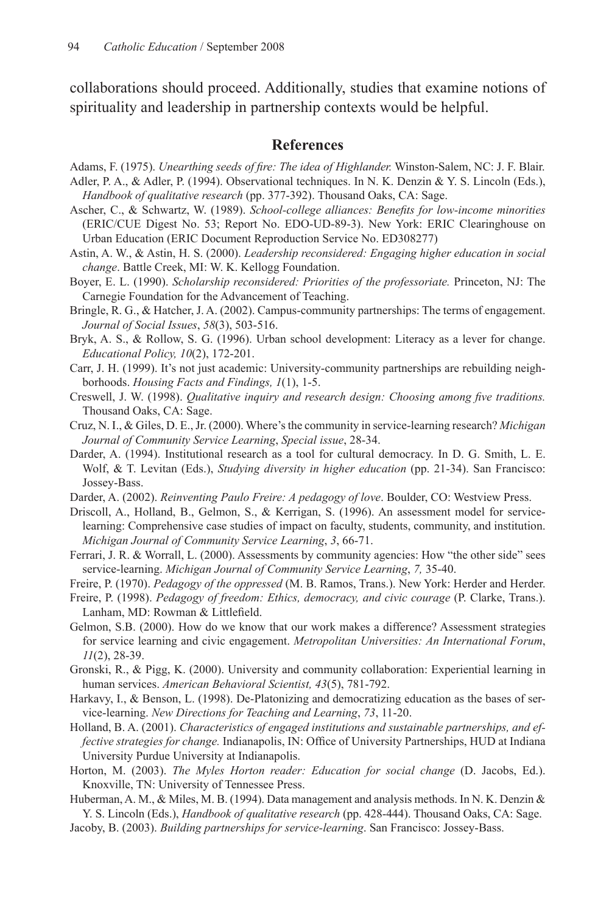collaborations should proceed. Additionally, studies that examine notions of spirituality and leadership in partnership contexts would be helpful.

#### **References**

- Adams, F. (1975). *Unearthing seeds of fire: The idea of Highlander.* Winston-Salem, NC: J. F. Blair.
- Adler, P. A., & Adler, P. (1994). Observational techniques. In N. K. Denzin & Y. S. Lincoln (Eds.), *Handbook of qualitative research* (pp. 377-392). Thousand Oaks, CA: Sage.
- Ascher, C., & Schwartz, W. (1989). *School-college alliances: Benefits for low-income minorities* (ERIC/CUE Digest No. 53; Report No. EDO-UD-89-3). New York: ERIC Clearinghouse on Urban Education (ERIC Document Reproduction Service No. ED308277)
- Astin, A. W., & Astin, H. S. (2000). *Leadership reconsidered: Engaging higher education in social change*. Battle Creek, MI: W. K. Kellogg Foundation.
- Boyer, E. L. (1990). *Scholarship reconsidered: Priorities of the professoriate.* Princeton, NJ: The Carnegie Foundation for the Advancement of Teaching.
- Bringle, R. G., & Hatcher, J. A. (2002). Campus-community partnerships: The terms of engagement. *Journal of Social Issues*, *58*(3), 503-516.
- Bryk, A. S., & Rollow, S. G. (1996). Urban school development: Literacy as a lever for change. *Educational Policy, 10*(2), 172-201.
- Carr, J. H. (1999). It's not just academic: University-community partnerships are rebuilding neighborhoods. *Housing Facts and Findings, 1*(1), 1-5.
- Creswell, J. W. (1998). *Qualitative inquiry and research design: Choosing among five traditions.* Thousand Oaks, CA: Sage.
- Cruz, N. I., & Giles, D. E.,Jr. (2000). Where'sthe community in service-learning research? *Michigan Journal of Community Service Learning*, *Special issue*, 28-34.
- Darder, A. (1994). Institutional research as a tool for cultural democracy. In D. G. Smith, L. E. Wolf, & T. Levitan (Eds.), *Studying diversity in higher education* (pp. 21-34). San Francisco: Jossey-Bass.
- Darder, A. (2002). *Reinventing Paulo Freire: A pedagogy of love*. Boulder, CO: Westview Press.
- Driscoll, A., Holland, B., Gelmon, S., & Kerrigan, S. (1996). An assessment model for servicelearning: Comprehensive case studies of impact on faculty, students, community, and institution. *Michigan Journal of Community Service Learning*, *3*, 66-71.
- Ferrari, J. R. & Worrall, L. (2000). Assessments by community agencies: How "the other side" sees service-learning. *Michigan Journal of Community Service Learning*, *7,* 35-40.
- Freire, P. (1970). *Pedagogy of the oppressed* (M. B. Ramos, Trans.). New York: Herder and Herder.
- Freire, P. (1998). *Pedagogy of freedom: Ethics, democracy, and civic courage* (P. Clarke, Trans.). Lanham, MD: Rowman & Littlefield.
- Gelmon, S.B. (2000). How do we know that our work makes a difference? Assessment strategies for service learning and civic engagement. *Metropolitan Universities: An International Forum*, *11*(2), 28-39.
- Gronski, R., & Pigg, K. (2000). University and community collaboration: Experiential learning in human services. *American Behavioral Scientist, 43*(5), 781-792.
- Harkavy, I., & Benson, L. (1998). De-Platonizing and democratizing education as the bases of service-learning. *New Directions for Teaching and Learning*, *73*, 11-20.
- Holland, B. A. (2001). *Characteristics of engaged institutions and sustainable partnerships, and effective strategies for change.* Indianapolis, IN: Office of University Partnerships, HUD at Indiana University Purdue University at Indianapolis.
- Horton, M. (2003). *The Myles Horton reader: Education for social change* (D. Jacobs, Ed.). Knoxville, TN: University of Tennessee Press.
- Huberman, A. M.,  $\&$  Miles, M. B. (1994). Data management and analysis methods. In N. K. Denzin  $\&$ Y. S. Lincoln (Eds.), *Handbook of qualitative research* (pp. 428-444). Thousand Oaks, CA: Sage.
- Jacoby, B. (2003). *Building partnerships for service-learning*. San Francisco: Jossey-Bass.